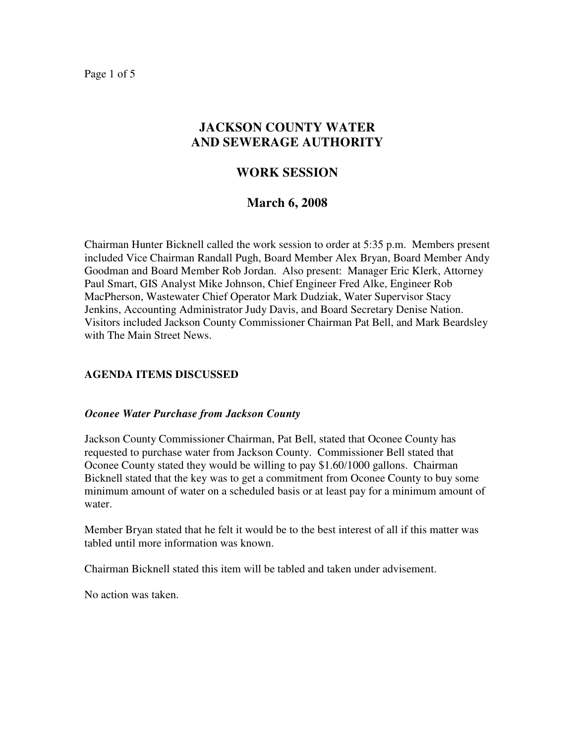Page 1 of 5

# **JACKSON COUNTY WATER AND SEWERAGE AUTHORITY**

## **WORK SESSION**

## **March 6, 2008**

Chairman Hunter Bicknell called the work session to order at 5:35 p.m. Members present included Vice Chairman Randall Pugh, Board Member Alex Bryan, Board Member Andy Goodman and Board Member Rob Jordan. Also present: Manager Eric Klerk, Attorney Paul Smart, GIS Analyst Mike Johnson, Chief Engineer Fred Alke, Engineer Rob MacPherson, Wastewater Chief Operator Mark Dudziak, Water Supervisor Stacy Jenkins, Accounting Administrator Judy Davis, and Board Secretary Denise Nation. Visitors included Jackson County Commissioner Chairman Pat Bell, and Mark Beardsley with The Main Street News.

## **AGENDA ITEMS DISCUSSED**

#### *Oconee Water Purchase from Jackson County*

Jackson County Commissioner Chairman, Pat Bell, stated that Oconee County has requested to purchase water from Jackson County. Commissioner Bell stated that Oconee County stated they would be willing to pay \$1.60/1000 gallons. Chairman Bicknell stated that the key was to get a commitment from Oconee County to buy some minimum amount of water on a scheduled basis or at least pay for a minimum amount of water.

Member Bryan stated that he felt it would be to the best interest of all if this matter was tabled until more information was known.

Chairman Bicknell stated this item will be tabled and taken under advisement.

No action was taken.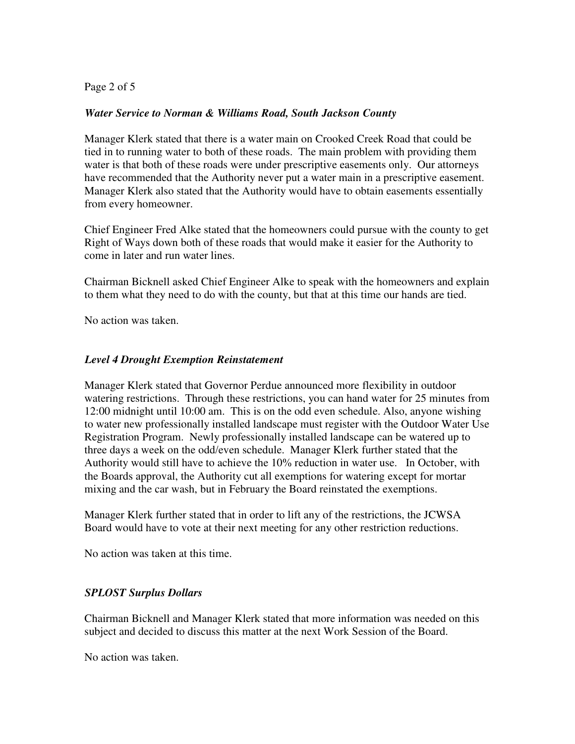Page 2 of 5

#### *Water Service to Norman & Williams Road, South Jackson County*

Manager Klerk stated that there is a water main on Crooked Creek Road that could be tied in to running water to both of these roads. The main problem with providing them water is that both of these roads were under prescriptive easements only. Our attorneys have recommended that the Authority never put a water main in a prescriptive easement. Manager Klerk also stated that the Authority would have to obtain easements essentially from every homeowner.

Chief Engineer Fred Alke stated that the homeowners could pursue with the county to get Right of Ways down both of these roads that would make it easier for the Authority to come in later and run water lines.

Chairman Bicknell asked Chief Engineer Alke to speak with the homeowners and explain to them what they need to do with the county, but that at this time our hands are tied.

No action was taken.

### *Level 4 Drought Exemption Reinstatement*

Manager Klerk stated that Governor Perdue announced more flexibility in outdoor watering restrictions. Through these restrictions, you can hand water for 25 minutes from 12:00 midnight until 10:00 am. This is on the odd even schedule. Also, anyone wishing to water new professionally installed landscape must register with the Outdoor Water Use Registration Program. Newly professionally installed landscape can be watered up to three days a week on the odd/even schedule. Manager Klerk further stated that the Authority would still have to achieve the 10% reduction in water use. In October, with the Boards approval, the Authority cut all exemptions for watering except for mortar mixing and the car wash, but in February the Board reinstated the exemptions.

Manager Klerk further stated that in order to lift any of the restrictions, the JCWSA Board would have to vote at their next meeting for any other restriction reductions.

No action was taken at this time.

#### *SPLOST Surplus Dollars*

Chairman Bicknell and Manager Klerk stated that more information was needed on this subject and decided to discuss this matter at the next Work Session of the Board.

No action was taken.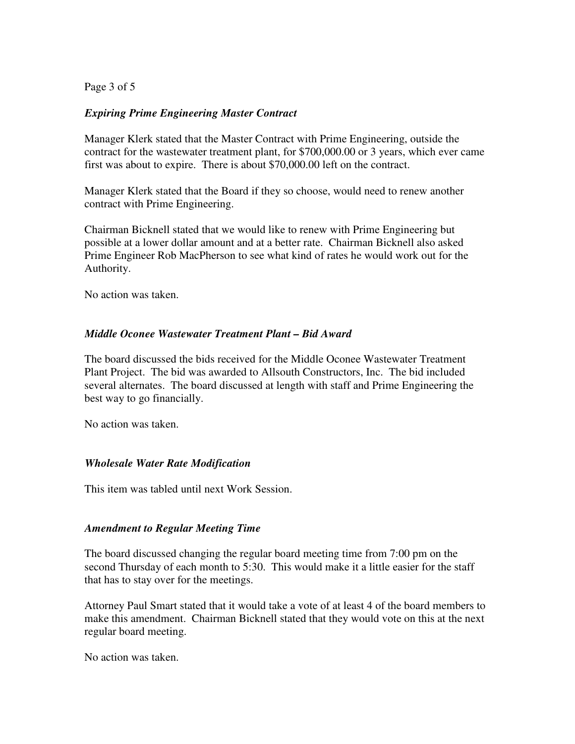Page 3 of 5

### *Expiring Prime Engineering Master Contract*

Manager Klerk stated that the Master Contract with Prime Engineering, outside the contract for the wastewater treatment plant, for \$700,000.00 or 3 years, which ever came first was about to expire. There is about \$70,000.00 left on the contract.

Manager Klerk stated that the Board if they so choose, would need to renew another contract with Prime Engineering.

Chairman Bicknell stated that we would like to renew with Prime Engineering but possible at a lower dollar amount and at a better rate. Chairman Bicknell also asked Prime Engineer Rob MacPherson to see what kind of rates he would work out for the Authority.

No action was taken.

#### *Middle Oconee Wastewater Treatment Plant – Bid Award*

The board discussed the bids received for the Middle Oconee Wastewater Treatment Plant Project. The bid was awarded to Allsouth Constructors, Inc. The bid included several alternates. The board discussed at length with staff and Prime Engineering the best way to go financially.

No action was taken.

#### *Wholesale Water Rate Modification*

This item was tabled until next Work Session.

#### *Amendment to Regular Meeting Time*

The board discussed changing the regular board meeting time from 7:00 pm on the second Thursday of each month to 5:30. This would make it a little easier for the staff that has to stay over for the meetings.

Attorney Paul Smart stated that it would take a vote of at least 4 of the board members to make this amendment. Chairman Bicknell stated that they would vote on this at the next regular board meeting.

No action was taken.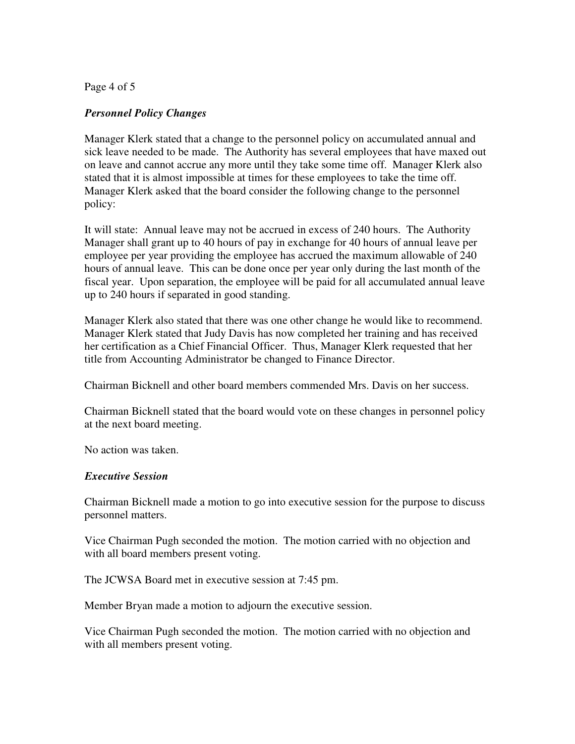Page 4 of 5

#### *Personnel Policy Changes*

Manager Klerk stated that a change to the personnel policy on accumulated annual and sick leave needed to be made. The Authority has several employees that have maxed out on leave and cannot accrue any more until they take some time off. Manager Klerk also stated that it is almost impossible at times for these employees to take the time off. Manager Klerk asked that the board consider the following change to the personnel policy:

It will state: Annual leave may not be accrued in excess of 240 hours. The Authority Manager shall grant up to 40 hours of pay in exchange for 40 hours of annual leave per employee per year providing the employee has accrued the maximum allowable of 240 hours of annual leave. This can be done once per year only during the last month of the fiscal year. Upon separation, the employee will be paid for all accumulated annual leave up to 240 hours if separated in good standing.

Manager Klerk also stated that there was one other change he would like to recommend. Manager Klerk stated that Judy Davis has now completed her training and has received her certification as a Chief Financial Officer. Thus, Manager Klerk requested that her title from Accounting Administrator be changed to Finance Director.

Chairman Bicknell and other board members commended Mrs. Davis on her success.

Chairman Bicknell stated that the board would vote on these changes in personnel policy at the next board meeting.

No action was taken.

#### *Executive Session*

Chairman Bicknell made a motion to go into executive session for the purpose to discuss personnel matters.

Vice Chairman Pugh seconded the motion. The motion carried with no objection and with all board members present voting.

The JCWSA Board met in executive session at 7:45 pm.

Member Bryan made a motion to adjourn the executive session.

Vice Chairman Pugh seconded the motion. The motion carried with no objection and with all members present voting.